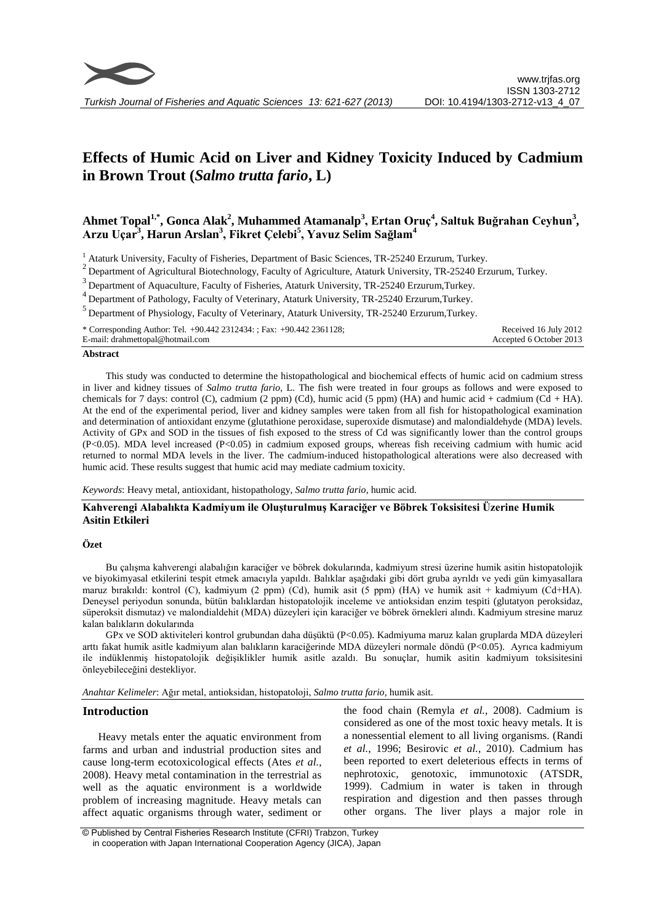

# **Effects of Humic Acid on Liver and Kidney Toxicity Induced by Cadmium in Brown Trout (***Salmo trutta fario***, L)**

# **Ahmet Topal1,\* , Gonca Alak<sup>2</sup> , Muhammed Atamanalp<sup>3</sup> , Ertan Oruç<sup>4</sup> , Saltuk Buğrahan Ceyhun<sup>3</sup> , Arzu Uçar<sup>3</sup> , Harun Arslan<sup>3</sup> , Fikret Çelebi<sup>5</sup> , Yavuz Selim Sağlam<sup>4</sup>**

<sup>1</sup> Ataturk University, Faculty of Fisheries, Department of Basic Sciences, TR-25240 Erzurum, Turkey.

 $2$  Department of Agricultural Biotechnology, Faculty of Agriculture, Ataturk University, TR-25240 Erzurum, Turkey.

<sup>3</sup> Department of Aquaculture, Faculty of Fisheries, Ataturk University, TR-25240 Erzurum,Turkey.

<sup>4</sup>Department of Pathology, Faculty of Veterinary, Ataturk University, TR-25240 Erzurum,Turkey.

 $<sup>5</sup>$  Department of Physiology, Faculty of Veterinary, Ataturk University, TR-25240 Erzurum, Turkey.</sup>

\* Corresponding Author: Tel. +90.442 2312434: ; Fax: +90.442 2361128; E-mail: drahmettopal@hotmail.com

Received 16 July 2012 Accepted 6 October 2013

## **Abstract**

This study was conducted to determine the histopathological and biochemical effects of humic acid on cadmium stress in liver and kidney tissues of *Salmo trutta fario,* L. The fish were treated in four groups as follows and were exposed to chemicals for 7 days: control (C), cadmium (2 ppm) (Cd), humic acid (5 ppm) (HA) and humic acid + cadmium (Cd + HA). At the end of the experimental period, liver and kidney samples were taken from all fish for histopathological examination and determination of antioxidant enzyme (glutathione peroxidase, superoxide dismutase) and malondialdehyde (MDA) levels. Activity of GPx and SOD in the tissues of fish exposed to the stress of Cd was significantly lower than the control groups (P<0.05). MDA level increased (P<0.05) in cadmium exposed groups, whereas fish receiving cadmium with humic acid returned to normal MDA levels in the liver. The cadmium-induced histopathological alterations were also decreased with humic acid. These results suggest that humic acid may mediate cadmium toxicity.

*Keywords*: Heavy metal, antioxidant, histopathology*, Salmo trutta fario,* humic acid*.*

# **Kahverengi Alabalıkta Kadmiyum ile Oluşturulmuş Karaciğer ve Böbrek Toksisitesi Üzerine Humik Asitin Etkileri**

#### **Özet**

Bu çalışma kahverengi alabalığın karaciğer ve böbrek dokularında, kadmiyum stresi üzerine humik asitin histopatolojik ve biyokimyasal etkilerini tespit etmek amacıyla yapıldı. Balıklar aşağıdaki gibi dört gruba ayrıldı ve yedi gün kimyasallara maruz bırakıldı: kontrol (C), kadmiyum (2 ppm) (Cd), humik asit (5 ppm) (HA) ve humik asit + kadmiyum (Cd+HA). Deneysel periyodun sonunda, bütün balıklardan histopatolojik inceleme ve antioksidan enzim tespiti (glutatyon peroksidaz, süperoksit dismutaz) ve malondialdehit (MDA) düzeyleri için karaciğer ve böbrek örnekleri alındı. Kadmiyum stresine maruz kalan balıkların dokularında

GPx ve SOD aktiviteleri kontrol grubundan daha düşüktü (P<0.05). Kadmiyuma maruz kalan gruplarda MDA düzeyleri arttı fakat humik asitle kadmiyum alan balıkların karaciğerinde MDA düzeyleri normale döndü (P<0.05). Ayrıca kadmiyum ile indüklenmiş histopatolojik değişiklikler humik asitle azaldı. Bu sonuçlar, humik asitin kadmiyum toksisitesini önleyebileceğini destekliyor.

*Anahtar Kelimeler*: Ağır metal, antioksidan, histopatoloji, *Salmo trutta fario,* humik asit.

## **Introduction**

Heavy metals enter the aquatic environment from farms and urban and industrial production sites and cause long-term ecotoxicological effects (Ates *et al.*, 2008). Heavy metal contamination in the terrestrial as well as the aquatic environment is a worldwide problem of increasing magnitude. Heavy metals can affect aquatic organisms through water, sediment or

the food chain (Remyla *et al.*, 2008). Cadmium is considered as one of the most toxic heavy metals. It is a nonessential element to all living organisms. (Randi *et al.*, 1996; Besirovic *et al.*, 2010). Cadmium has been reported to exert deleterious effects in terms of nephrotoxic, genotoxic, immunotoxic (ATSDR, 1999). Cadmium in water is taken in through respiration and digestion and then passes through other organs. The liver plays a major role in

<sup>©</sup> Published by Central Fisheries Research Institute (CFRI) Trabzon, Turkey in cooperation with Japan International Cooperation Agency (JICA), Japan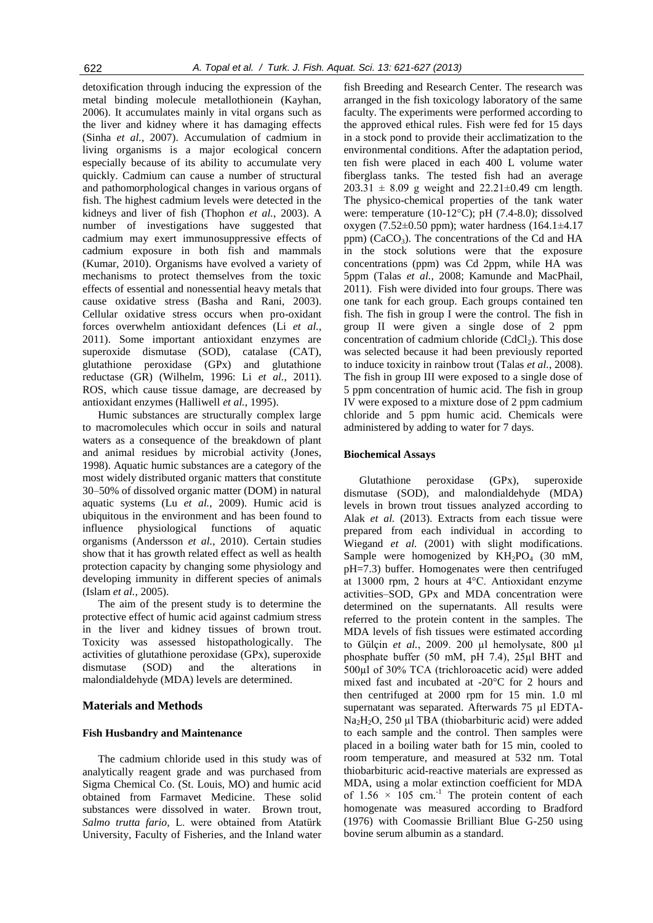detoxification through inducing the expression of the metal binding molecule metallothionein (Kayhan, 2006). It accumulates mainly in vital organs such as the liver and kidney where it has damaging effects (Sinha *et al.*, 2007). Accumulation of cadmium in living organisms is a major ecological concern especially because of its ability to accumulate very quickly. Cadmium can cause a number of structural and pathomorphological changes in various organs of fish. The highest cadmium levels were detected in the kidneys and liver of fish (Thophon *et al.*, 2003). A number of investigations have suggested that cadmium may exert immunosuppressive effects of cadmium exposure in both fish and mammals (Kumar, 2010). Organisms have evolved a variety of mechanisms to protect themselves from the toxic effects of essential and nonessential heavy metals that cause oxidative stress (Basha and Rani, 2003). Cellular oxidative stress occurs when pro-oxidant forces overwhelm antioxidant defences (Li *et al.*, 2011). Some important antioxidant enzymes are superoxide dismutase (SOD), catalase (CAT), glutathione peroxidase (GPx) and glutathione reductase (GR) (Wilhelm, 1996: Li *et al.*, 2011). ROS, which cause tissue damage, are decreased by antioxidant enzymes (Halliwell *et al.*, 1995).

Humic substances are structurally complex large to macromolecules which occur in soils and natural waters as a consequence of the breakdown of plant and animal residues by microbial activity (Jones, 1998). Aquatic humic substances are a category of the most widely distributed organic matters that constitute 30–50% of dissolved organic matter (DOM) in natural aquatic systems (Lu *et al.*, 2009). Humic acid is ubiquitous in the environment and has been found to influence physiological functions of aquatic organisms (Andersson *et al.*, 2010). Certain studies show that it has growth related effect as well as health protection capacity by changing some physiology and developing immunity in different species of animals (Islam *et al.*, 2005).

The aim of the present study is to determine the protective effect of humic acid against cadmium stress in the liver and kidney tissues of brown trout. Toxicity was assessed histopathologically. The activities of glutathione peroxidase (GPx), superoxide dismutase (SOD) and the alterations in malondialdehyde (MDA) levels are determined.

# **Materials and Methods**

# **Fish Husbandry and Maintenance**

The cadmium chloride used in this study was of analytically reagent grade and was purchased from Sigma Chemical Co. (St. Louis, MO) and humic acid obtained from Farmavet Medicine. These solid substances were dissolved in water. Brown trout, *Salmo trutta fario,* L. were obtained from Atatürk University, Faculty of Fisheries, and the Inland water

fish Breeding and Research Center. The research was arranged in the fish toxicology laboratory of the same faculty. The experiments were performed according to the approved ethical rules. Fish were fed for 15 days in a stock pond to provide their acclimatization to the environmental conditions. After the adaptation period, ten fish were placed in each 400 L volume water fiberglass tanks. The tested fish had an average  $203.31 \pm 8.09$  g weight and  $22.21 \pm 0.49$  cm length. The physico-chemical properties of the tank water were: temperature (10-12°C); pH (7.4-8.0); dissolved oxygen (7.52±0.50 ppm); water hardness (164.1±4.17 ppm) ( $CaCO<sub>3</sub>$ ). The concentrations of the Cd and HA in the stock solutions were that the exposure concentrations (ppm) was Cd 2ppm, while HA was 5ppm (Talas *et al.*, 2008; Kamunde and MacPhail, 2011). Fish were divided into four groups. There was one tank for each group. Each groups contained ten fish. The fish in group I were the control. The fish in group II were given a single dose of 2 ppm concentration of cadmium chloride  $(CdCl<sub>2</sub>)$ . This dose was selected because it had been previously reported to induce toxicity in rainbow trout (Talas *et al.*, 2008). The fish in group III were exposed to a single dose of 5 ppm concentration of humic acid. The fish in group IV were exposed to a mixture dose of 2 ppm cadmium chloride and 5 ppm humic acid. Chemicals were administered by adding to water for 7 days.

#### **Biochemical Assays**

Glutathione peroxidase (GPx), superoxide dismutase (SOD), and malondialdehyde (MDA) levels in brown trout tissues analyzed according to Alak *et al.* (2013). Extracts from each tissue were prepared from each individual in according to Wiegand *et al.* (2001) with slight modifications. Sample were homogenized by  $KH_2PO_4$  (30 mM, pH=7.3) buffer. Homogenates were then centrifuged at 13000 rpm, 2 hours at 4°C. Antioxidant enzyme activities–SOD, GPx and MDA concentration were determined on the supernatants. All results were referred to the protein content in the samples. The MDA levels of fish tissues were estimated according to Gülçin et al., 2009. 200 µl hemolysate, 800 µl phosphate buffer (50 mM, pH 7.4), 25µl BHT and 500µl of 30% TCA (trichloroacetic acid) were added mixed fast and incubated at -20°C for 2 hours and then centrifuged at 2000 rpm for 15 min. 1.0 ml supernatant was separated. Afterwards 75 ul EDTA-Na<sub>2</sub>H<sub>2</sub>O, 250 µl TBA (thiobarbituric acid) were added to each sample and the control. Then samples were placed in a boiling water bath for 15 min, cooled to room temperature, and measured at 532 nm. Total thiobarbituric acid-reactive materials are expressed as MDA, using a molar extinction coefficient for MDA of  $1.56 \times 105$  cm.<sup>-1</sup> The protein content of each homogenate was measured according to Bradford (1976) with Coomassie Brilliant Blue G-250 using bovine serum albumin as a standard.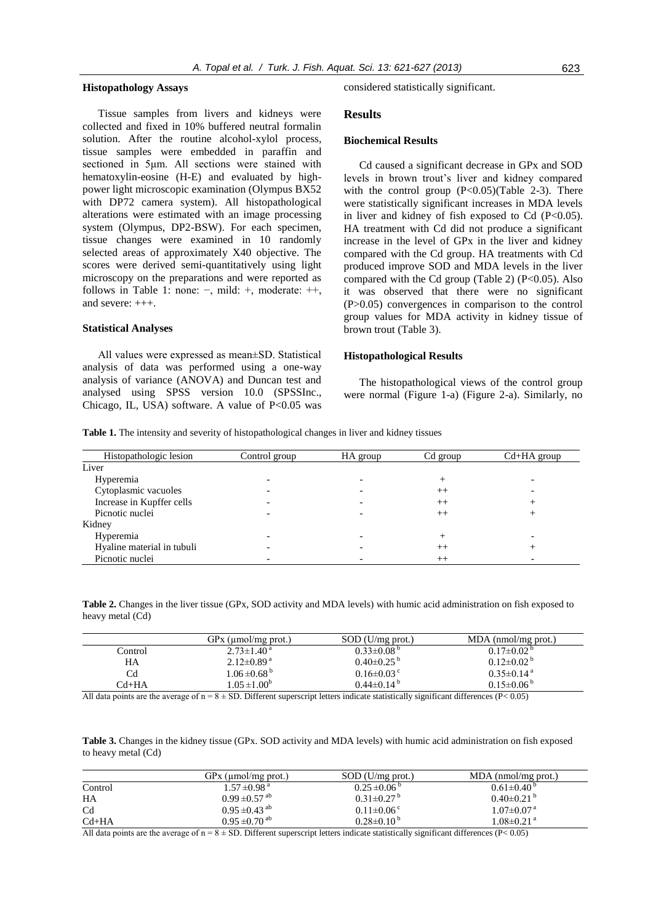#### **Histopathology Assays**

Tissue samples from livers and kidneys were collected and fixed in 10% buffered neutral formalin solution. After the routine alcohol-xylol process, tissue samples were embedded in paraffin and sectioned in 5μm. All sections were stained with hematoxylin-eosine (H-E) and evaluated by highpower light microscopic examination (Olympus BX52 with DP72 camera system). All histopathological alterations were estimated with an image processing system (Olympus, DP2-BSW). For each specimen, tissue changes were examined in 10 randomly selected areas of approximately X40 objective. The scores were derived semi-quantitatively using light microscopy on the preparations and were reported as follows in Table 1: none:  $-$ , mild:  $+$ , moderate:  $++$ , and severe: +++.

#### **Statistical Analyses**

All values were expressed as mean±SD. Statistical analysis of data was performed using a one-way analysis of variance (ANOVA) and Duncan test and analysed using SPSS version 10.0 (SPSSInc., Chicago, IL, USA) software. A value of  $P<0.05$  was considered statistically significant.

#### **Results**

# **Biochemical Results**

Cd caused a significant decrease in GPx and SOD levels in brown trout's liver and kidney compared with the control group  $(P<0.05)$  (Table 2-3). There were statistically significant increases in MDA levels in liver and kidney of fish exposed to Cd  $(P<0.05)$ . HA treatment with Cd did not produce a significant increase in the level of GPx in the liver and kidney compared with the Cd group. HA treatments with Cd produced improve SOD and MDA levels in the liver compared with the Cd group (Table 2) ( $P<0.05$ ). Also it was observed that there were no significant (P>0.05) convergences in comparison to the control group values for MDA activity in kidney tissue of brown trout (Table 3).

#### **Histopathological Results**

The histopathological views of the control group were normal (Figure 1-a) (Figure 2-a). Similarly, no

**Table 1.** The intensity and severity of histopathological changes in liver and kidney tissues

| Histopathologic lesion     | Control group | HA group | Cd group | $Cd+HA$ group |
|----------------------------|---------------|----------|----------|---------------|
| Liver                      |               |          |          |               |
| Hyperemia                  |               |          |          |               |
| Cytoplasmic vacuoles       |               |          | $++$     |               |
| Increase in Kupffer cells  |               |          | $^{++}$  |               |
| Picnotic nuclei            |               |          | $^{++}$  |               |
| Kidney                     |               |          |          |               |
| Hyperemia                  |               |          |          |               |
| Hyaline material in tubuli |               |          | $^{++}$  |               |
| Picnotic nuclei            |               |          | $++$     |               |

**Table 2.** Changes in the liver tissue (GPx, SOD activity and MDA levels) with humic acid administration on fish exposed to heavy metal (Cd)

|         | $GPx$ (µmol/mg prot.)       | $SOD$ (U/mg prot.)           | $MDA$ (nmol/mg prot.)        |
|---------|-----------------------------|------------------------------|------------------------------|
| Control | $2.73 \pm 1.40^{\text{ a}}$ | $0.33 \pm 0.08^{b}$          | $0.17 \pm 0.02^{\circ}$      |
| HA      | $2.12\pm0.89^{\text{a}}$    | $0.40\pm0.25^{b}$            | $0.12\pm0.02^{\mathrm{b}}$   |
| Cd      | $1.06 \pm 0.68^{b}$         | $0.16 \pm 0.03$ <sup>c</sup> | $0.35 \pm 0.14$ <sup>a</sup> |
| Cd+HA   | $1.05 \pm 1.00^b$           | $0.44\pm0.14^{\mathrm{b}}$   | $0.15 \pm 0.06^{\mathrm{b}}$ |
| .       | ____                        | <br>.                        | $\cdots$                     |

All data points are the average of  $n = 8 \pm SD$ . Different superscript letters indicate statistically significant differences (P< 0.05)

**Table 3.** Changes in the kidney tissue (GPx. SOD activity and MDA levels) with humic acid administration on fish exposed to heavy metal (Cd)

|                | $GPx$ (µmol/mg prot.)         | $SOD$ (U/mg prot.)           | MDA (nmol/mg prot.)          |
|----------------|-------------------------------|------------------------------|------------------------------|
| Control        | $1.57 \pm 0.98$ <sup>a</sup>  | $0.25 \pm 0.06^{\circ}$      | $0.61 \pm 0.40^{\circ}$      |
| HA             | $0.99 \pm 0.57$ <sup>ab</sup> | $0.31 \pm 0.27$ <sup>b</sup> | $0.40\pm0.21^{b}$            |
| C <sub>d</sub> | $0.95 \pm 0.43$ <sup>ab</sup> | $0.11 \pm 0.06$ <sup>c</sup> | $1.07 \pm 0.07$ <sup>a</sup> |
| $Cd+HA$        | $0.95 \pm 0.70$ <sup>ab</sup> | $0.28\pm0.10^{b}$            | $1.08 \pm 0.21$ <sup>a</sup> |

All data points are the average of  $n = 8 \pm SD$ . Different superscript letters indicate statistically significant differences (P< 0.05)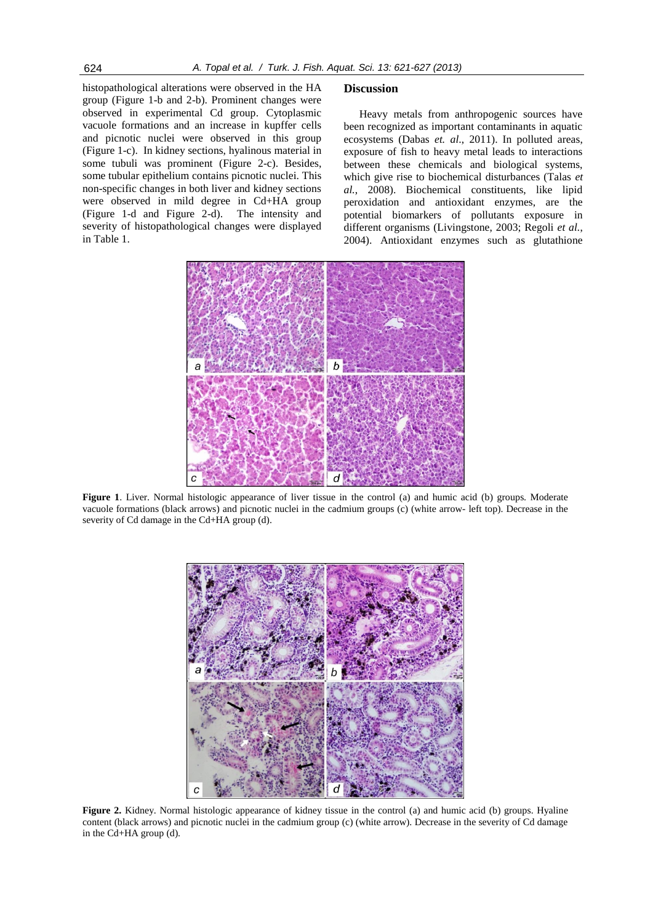histopathological alterations were observed in the HA group (Figure 1-b and 2-b). Prominent changes were observed in experimental Cd group. Cytoplasmic vacuole formations and an increase in kupffer cells and picnotic nuclei were observed in this group (Figure 1-c). In kidney sections, hyalinous material in some tubuli was prominent (Figure 2-c). Besides, some tubular epithelium contains picnotic nuclei. This non-specific changes in both liver and kidney sections were observed in mild degree in Cd+HA group (Figure 1-d and Figure 2-d). The intensity and severity of histopathological changes were displayed in Table 1.

## **Discussion**

Heavy metals from anthropogenic sources have been recognized as important contaminants in aquatic ecosystems (Dabas *et. al*., 2011). In polluted areas, exposure of fish to heavy metal leads to interactions between these chemicals and biological systems, which give rise to biochemical disturbances (Talas *et al.*, 2008). Biochemical constituents, like lipid peroxidation and antioxidant enzymes, are the potential biomarkers of pollutants exposure in different organisms (Livingstone, 2003; Regoli *et al.*, 2004). Antioxidant enzymes such as glutathione



**Figure 1**. Liver. Normal histologic appearance of liver tissue in the control (a) and humic acid (b) groups. Moderate vacuole formations (black arrows) and picnotic nuclei in the cadmium groups (c) (white arrow- left top). Decrease in the severity of Cd damage in the Cd+HA group (d).



**Figure 2.** Kidney. Normal histologic appearance of kidney tissue in the control (a) and humic acid (b) groups. Hyaline content (black arrows) and picnotic nuclei in the cadmium group (c) (white arrow). Decrease in the severity of Cd damage in the Cd+HA group (d).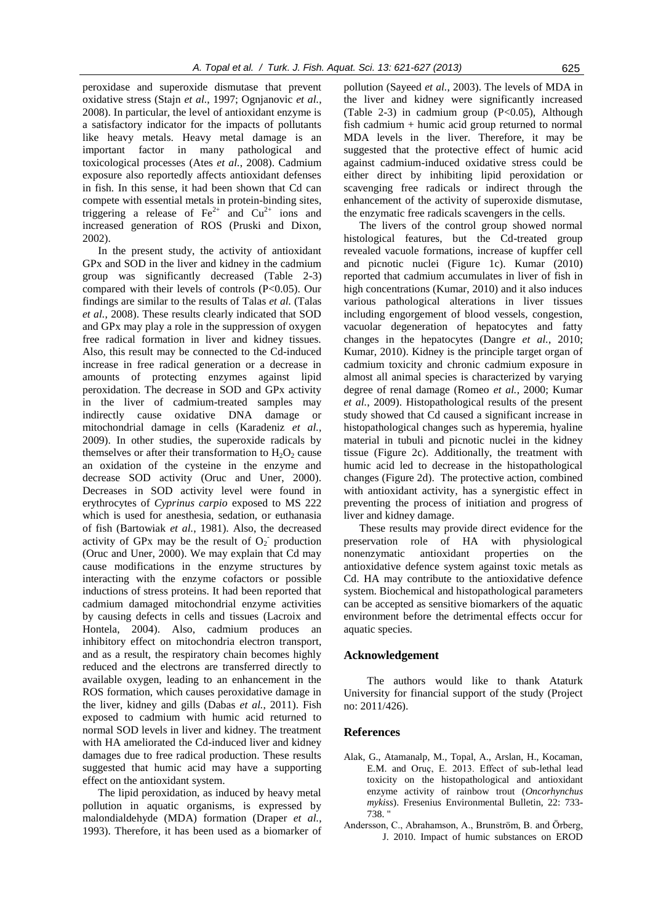peroxidase and superoxide dismutase that prevent oxidative stress (Stajn *et al.*, 1997; Ognjanovic *et al.*, 2008). In particular, the level of antioxidant enzyme is a satisfactory indicator for the impacts of pollutants like heavy metals. Heavy metal damage is an important factor in many pathological and toxicological processes (Ates *et al.*, 2008). Cadmium exposure also reportedly affects antioxidant defenses in fish. In this sense, it had been shown that Cd can compete with essential metals in protein-binding sites, triggering a release of  $\text{Fe}^{2+}$  and  $\text{Cu}^{2+}$  ions and increased generation of ROS (Pruski and Dixon, 2002).

In the present study, the activity of antioxidant GPx and SOD in the liver and kidney in the cadmium group was significantly decreased (Table 2-3) compared with their levels of controls (P<0.05). Our findings are similar to the results of Talas *et al.* (Talas *et al.*, 2008). These results clearly indicated that SOD and GPx may play a role in the suppression of oxygen free radical formation in liver and kidney tissues. Also, this result may be connected to the Cd-induced increase in free radical generation or a decrease in amounts of protecting enzymes against lipid peroxidation. The decrease in SOD and GPx activity in the liver of cadmium-treated samples may indirectly cause oxidative DNA damage or mitochondrial damage in cells (Karadeniz *et al.*, 2009). In other studies, the superoxide radicals by themselves or after their transformation to  $H_2O_2$  cause an oxidation of the cysteine in the enzyme and decrease SOD activity (Oruc and Uner, 2000). Decreases in SOD activity level were found in erythrocytes of *Cyprinus carpio* exposed to MS 222 which is used for anesthesia, sedation, or euthanasia of fish (Bartowiak *et al.*, 1981). Also, the decreased activity of GPx may be the result of  $O_2$ <sup>-</sup> production (Oruc and Uner, 2000). We may explain that Cd may cause modifications in the enzyme structures by interacting with the enzyme cofactors or possible inductions of stress proteins. It had been reported that cadmium damaged mitochondrial enzyme activities by causing defects in cells and tissues (Lacroix and Hontela, 2004). Also, cadmium produces an inhibitory effect on mitochondria electron transport, and as a result, the respiratory chain becomes highly reduced and the electrons are transferred directly to available oxygen, leading to an enhancement in the ROS formation, which causes peroxidative damage in the liver, kidney and gills (Dabas *et al.*, 2011). Fish exposed to cadmium with humic acid returned to normal SOD levels in liver and kidney. The treatment with HA ameliorated the Cd-induced liver and kidney damages due to free radical production. These results suggested that humic acid may have a supporting effect on the antioxidant system.

The lipid peroxidation, as induced by heavy metal pollution in aquatic organisms, is expressed by malondialdehyde (MDA) formation (Draper *et al.*, 1993). Therefore, it has been used as a biomarker of pollution (Sayeed *et al.*, 2003). The levels of MDA in the liver and kidney were significantly increased (Table 2-3) in cadmium group (P<0.05), Although fish cadmium + humic acid group returned to normal MDA levels in the liver. Therefore, it may be suggested that the protective effect of humic acid against cadmium-induced oxidative stress could be either direct by inhibiting lipid peroxidation or scavenging free radicals or indirect through the enhancement of the activity of superoxide dismutase, the enzymatic free radicals scavengers in the cells.

The livers of the control group showed normal histological features, but the Cd-treated group revealed vacuole formations, increase of kupffer cell and picnotic nuclei (Figure 1c). Kumar (2010) reported that cadmium accumulates in liver of fish in high concentrations (Kumar, 2010) and it also induces various pathological alterations in liver tissues including engorgement of blood vessels, congestion, vacuolar degeneration of hepatocytes and fatty changes in the hepatocytes (Dangre *et al.*, 2010; Kumar, 2010). Kidney is the principle target organ of cadmium toxicity and chronic cadmium exposure in almost all animal species is characterized by varying degree of renal damage (Romeo *et al.*, 2000; Kumar *et al.*, 2009). Histopathological results of the present study showed that Cd caused a significant increase in histopathological changes such as hyperemia, hyaline material in tubuli and picnotic nuclei in the kidney tissue (Figure 2c). Additionally, the treatment with humic acid led to decrease in the histopathological changes (Figure 2d). The protective action, combined with antioxidant activity, has a synergistic effect in preventing the process of initiation and progress of liver and kidney damage.

These results may provide direct evidence for the preservation role of HA with physiological nonenzymatic antioxidant properties on the antioxidative defence system against toxic metals as Cd. HA may contribute to the antioxidative defence system. Biochemical and histopathological parameters can be accepted as sensitive biomarkers of the aquatic environment before the detrimental effects occur for aquatic species.

# **Acknowledgement**

The authors would like to thank Ataturk University for financial support of the study (Project no: 2011/426).

# **References**

- Alak, G., Atamanalp, M., Topal, A., Arslan, H., Kocaman, E.M. and Oruç, E. 2013. Effect of sub-lethal lead toxicity on the histopathological and antioxidant enzyme activity of rainbow trout (*Oncorhynchus mykiss*). Fresenius Environmental Bulletin, 22: 733- 738. "
- Andersson, C., Abrahamson, A., Brunström, B. and Örberg, J. 2010. Impact of humic substances on EROD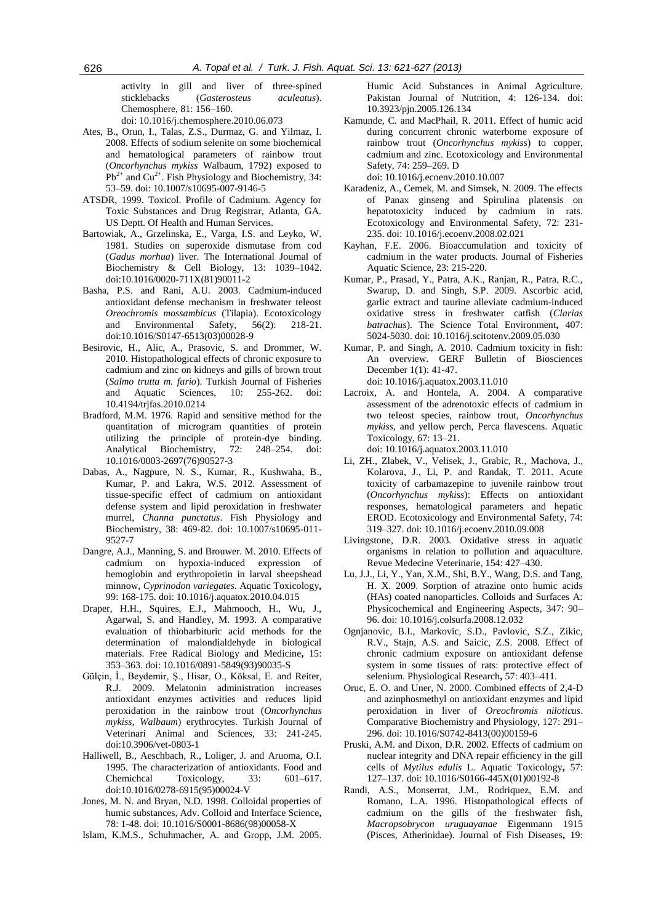activity in gill and liver of three-spined sticklebacks (*Gasterosteus aculeatus*). Chemosphere, 81: 156–160.

[doi: 10.1016/j.chemosphere.2010.06.073](http://dx.doi.org/10.1016/j.chemosphere.2010.06.073)

- Ates, B., Orun, I., Talas, Z.S., Durmaz, G. and Yilmaz, I. 2008. Effects of sodium selenite on some biochemical and hematological parameters of rainbow trout (*Oncorhynchus mykiss* Walbaum, 1792) exposed to  $Pb^{2+}$  and Cu<sup>2+</sup>. Fish Physiology and Biochemistry, 34: 53–59. doi: 10.1007/s10695-007-9146-5
- ATSDR, 1999. Toxicol. Profile of Cadmium. Agency for Toxic Substances and Drug Registrar, Atlanta, GA. US Deptt. Of Health and Human Services.
- Bartowiak, A., Grzelinska, E., Varga, I.S. and Leyko, W. 1981. Studies on superoxide dismutase from cod (*Gadus morhua*) liver. The International Journal of Biochemistry & Cell Biology, 13: 1039–1042. [doi:10.1016/0020-711X\(81\)90011-2](http://dx.doi.org/10.1016/0020-711X(81)90011-2)
- [Basha, P.S.](http://www.ncbi.nlm.nih.gov/pubmed?term=Basha%20PS%5BAuthor%5D&cauthor=true&cauthor_uid=12927552) and [Rani, A.U.](http://www.ncbi.nlm.nih.gov/pubmed?term=Rani%20AU%5BAuthor%5D&cauthor=true&cauthor_uid=12927552) 2003. Cadmium-induced antioxidant defense mechanism in freshwater teleost *Oreochromis mossambicus* (Tilapia). Ecotoxicology and Environmental Safety, 56(2): 218-21. doi:10.1016/S0147-6513(03)00028-9
- Besirovic, H., Alic, A., Prasovic, S. and Drommer, W. 2010. Histopathological effects of chronic exposure to cadmium and zinc on kidneys and gills of brown trout (*Salmo trutta m. fario*). Turkish Journal of Fisheries and Aquatic Sciences, 10: 255-262. doi: 10.4194/trjfas.2010.0214
- Bradford, M.M. 1976. Rapid and sensitive method for the quantitation of microgram quantities of protein utilizing the principle of protein-dye binding. Analytical Biochemistry, 72: 248–254. [doi:](http://dx.doi.org/10.1016/0003-2697(76)90527-3)  [10.1016/0003-2697\(76\)90527-3](http://dx.doi.org/10.1016/0003-2697(76)90527-3)
- [Dabas, A.,](http://www.ncbi.nlm.nih.gov/pubmed?term=%22Dabas%20A%22%5BAuthor%5D) [Nagpure, N. S.](http://www.ncbi.nlm.nih.gov/pubmed?term=%22Nagpure%20NS%22%5BAuthor%5D), [Kumar, R.,](http://www.ncbi.nlm.nih.gov/pubmed?term=%22Kumar%20R%22%5BAuthor%5D) [Kushwaha, B.](http://www.ncbi.nlm.nih.gov/pubmed?term=%22Kushwaha%20B%22%5BAuthor%5D), [Kumar, P.](http://www.ncbi.nlm.nih.gov/pubmed?term=%22Kumar%20P%22%5BAuthor%5D) and [Lakra, W.S.](http://www.ncbi.nlm.nih.gov/pubmed?term=%22Lakra%20WS%22%5BAuthor%5D) 2012. Assessment of tissue-specific effect of cadmium on antioxidant defense system and lipid peroxidation in freshwater murrel, *Channa punctatus*. Fish Physiology and Biochemistry, 38: 469-82. doi: 10.1007/s10695-011- 9527-7
- Dangre, A.J., Manning, S. and Brouwer. M. 2010. Effects of cadmium on hypoxia-induced expression of hemoglobin and erythropoietin in larval sheepshead minnow, *Cyprinodon variegates*. Aquatic Toxicology**,**  99: 168-175. doi: 10.1016/j.aquatox.2010.04.015
- Draper, H.H., Squires, E.J., Mahmooch, H., Wu, J., Agarwal, S. and Handley, M. 1993. A comparative evaluation of thiobarbituric acid methods for the determination of malondialdehyde in biological materials. Free Radical Biology and Medicine**,** 15: 353–363. [doi: 10.1016/0891-5849\(93\)90035-S](http://dx.doi.org/10.1016/0891-5849(93)90035-S)
- Gülçin, İ., Beydemir, Ş., Hisar, O., Köksal, E. and Reiter, R.J. 2009. Melatonin administration increases antioxidant enzymes activities and reduces lipid peroxidation in the rainbow trout (*Oncorhynchus mykiss, Walbaum*) erythrocytes. Turkish Journal of Veterinari Animal and Sciences, 33: 241-245. doi:10.3906/vet-0803-1
- Halliwell, B., Aeschbach, R., Loliger, J. and Aruoma, O.I. 1995. The characterization of antioxidants. Food and Chemichcal Toxicology, 33: 601–617. [doi:10.1016/0278-6915\(95\)00024-V](http://dx.doi.org/10.1016/0278-6915(95)00024-V)
- Jones, M. N. and Bryan, N.D. 1998. Colloidal properties of humic substances, Adv. Colloid and Interface Science**,**  78: 1-48. [doi: 10.1016/S0001-8686\(98\)00058-X](http://dx.doi.org/10.1016/S0001-8686(98)00058-X)
- Islam, K.M.S., Schuhmacher, A. and Gropp, J.M. 2005.

Humic Acid Substances in Animal Agriculture. Pakistan Journal of Nutrition, 4: 126-134. doi: 10.3923/pjn.2005.126.134

- Kamunde, C. and MacPhail, R. 2011. Effect of humic acid during concurrent chronic waterborne exposure of rainbow trout (*Oncorhynchus mykiss*) to copper, cadmium and zinc. Ecotoxicology and Environmental Safety, 74: 259–269. D doi: 10.1016/j.ecoenv.2010.10.007
- Karadeniz, A., Cemek, M. and Simsek, N. 2009. The effects of Panax ginseng and Spirulina platensis on hepatotoxicity induced by cadmium in rats. Ecotoxicology and Environmental Safety, 72: 231- 235. doi: 10.1016/j.ecoenv.2008.02.021
- Kayhan, F.E. 2006. Bioaccumulation and toxicity of cadmium in the water products. Journal of Fisheries Aquatic Science, 23: 215-220.
- Kumar, P., Prasad, Y., Patra, A.K., Ranjan, R., Patra, R.C., Swarup, D. and Singh, S.P. 2009. Ascorbic acid, garlic extract and taurine alleviate cadmium-induced oxidative stress in freshwater catfish (*Clarias batrachus*). The Science Total Environment**,** 407: 5024-5030. doi: 10.1016/j.scitotenv.2009.05.030
- Kumar, P. and Singh, A. 2010. Cadmium toxicity in fish: An overview. GERF Bulletin of Biosciences December 1(1): 41-47. [doi: 10.1016/j.aquatox.2003.11.010](http://dx.doi.org/10.1016/j.aquatox.2003.11.010)
- Lacroix, A. and Hontela, A. 2004. A comparative assessment of the adrenotoxic effects of cadmium in two teleost species, rainbow trout, *Oncorhynchus mykiss*, and yellow perch, Perca flavescens. Aquatic Toxicology, 67: 13–21.

[doi: 10.1016/j.aquatox.2003.11.010](http://dx.doi.org/10.1016/j.aquatox.2003.11.010)

- [Li, ZH.,](http://www.ncbi.nlm.nih.gov/pubmed?term=Li%20ZH%5BAuthor%5D&cauthor=true&cauthor_uid=20971511) [Zlabek, V.,](http://www.ncbi.nlm.nih.gov/pubmed?term=Zlabek%20V%5BAuthor%5D&cauthor=true&cauthor_uid=20971511) [Velisek, J.](http://www.ncbi.nlm.nih.gov/pubmed?term=Velisek%20J%5BAuthor%5D&cauthor=true&cauthor_uid=20971511), [Grabic, R.,](http://www.ncbi.nlm.nih.gov/pubmed?term=Grabic%20R%5BAuthor%5D&cauthor=true&cauthor_uid=20971511) [Machova, J.](http://www.ncbi.nlm.nih.gov/pubmed?term=Machova%20J%5BAuthor%5D&cauthor=true&cauthor_uid=20971511), [Kolarova, J.,](http://www.ncbi.nlm.nih.gov/pubmed?term=Kolarova%20J%5BAuthor%5D&cauthor=true&cauthor_uid=20971511) [Li, P.](http://www.ncbi.nlm.nih.gov/pubmed?term=Li%20P%5BAuthor%5D&cauthor=true&cauthor_uid=20971511) and [Randak, T.](http://www.ncbi.nlm.nih.gov/pubmed?term=Randak%20T%5BAuthor%5D&cauthor=true&cauthor_uid=20971511) 2011. Acute toxicity of carbamazepine to juvenile rainbow trout (*Oncorhynchus mykiss*): Effects on antioxidant responses, hematological parameters and hepatic EROD. Ecotoxicology and Environmental Safety, 74: 319–327. doi: 10.1016/j.ecoenv.2010.09.008
- Livingstone, D.R. 2003. Oxidative stress in aquatic organisms in relation to pollution and aquaculture. Revue Medecine Veterinarie, 154: 427–430.
- Lu, J.J., Li, Y., Yan, X.M., Shi, B.Y., Wang, D.S. and Tang, H. X. 2009. Sorption of atrazine onto humic acids (HAs) coated nanoparticles. Colloids and Surfaces A: Physicochemical and Engineering Aspects, 347: 90– 96. [doi: 10.1016/j.colsurfa.2008.12.032](http://dx.doi.org/10.1016/j.colsurfa.2008.12.032)
- Ognjanovic, B.I., Markovic, S.D., Pavlovic, S.Z., Zikic, R.V., Stajn, A.S. and Saicic, Z.S. 2008. Effect of chronic cadmium exposure on antioxidant defense system in some tissues of rats: protective effect of selenium. Physiological Research**,** 57: 403–411.
- Oruc, E. O. and Uner, N. 2000. Combined effects of 2,4-D and azinphosmethyl on antioxidant enzymes and lipid peroxidation in liver of *Oreochromis niloticus*. Comparative Biochemistry and Physiology, 127: 291– 296. [doi: 10.1016/S0742-8413\(00\)00159-6](http://dx.doi.org/10.1016/S0742-8413(00)00159-6)
- Pruski, A.M. and Dixon, D.R. 2002. Effects of cadmium on nuclear integrity and DNA repair efficiency in the gill cells of *Mytilus edulis* L. Aquatic Toxicology**,** 57: 127–137. [doi: 10.1016/S0166-445X\(01\)00192-8](http://dx.doi.org/10.1016/S0166-445X(01)00192-8)
- Randi, A.S., Monserrat, J.M., Rodriquez, E.M. and Romano, L.A. 1996. Histopathological effects of cadmium on the gills of the freshwater fish, *Macropsobrycon uruguayanae* Eigenmann 1915 (Pisces, Atherinidae). Journal of Fish Diseases**,** 19: